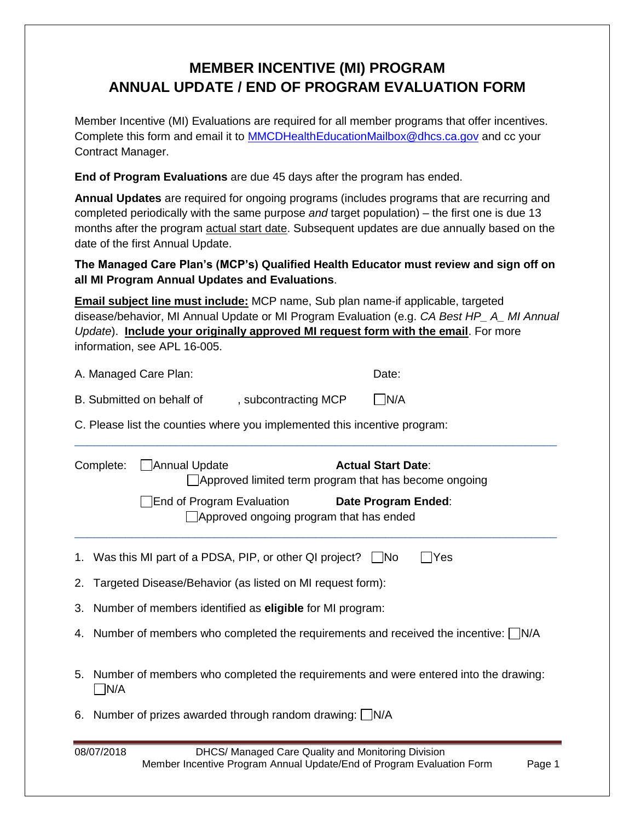## **MEMBER INCENTIVE (MI) PROGRAM ANNUAL UPDATE / END OF PROGRAM EVALUATION FORM**

Member Incentive (MI) Evaluations are required for all member programs that offer incentives. Complete this form and email it to [MMCDHealthEducationMailbox@dhcs.ca.gov](mailto:MMCDHealthEducationMailbox@dhcs.ca.gov) and cc your Contract Manager.

**End of Program Evaluations** are due 45 days after the program has ended.

**Annual Updates** are required for ongoing programs (includes programs that are recurring and completed periodically with the same purpose *and* target population) – the first one is due 13 months after the program actual start date. Subsequent updates are due annually based on the date of the first Annual Update.

**The Managed Care Plan's (MCP's) Qualified Health Educator must review and sign off on all MI Program Annual Updates and Evaluations**.

**Email subject line must include:** MCP name, Sub plan name-if applicable, targeted disease/behavior, MI Annual Update or MI Program Evaluation (e.g. *CA Best HP\_ A\_ MI Annual Update*). **Include your originally approved MI request form with the email**. For more information, see APL 16-005.

\_\_\_\_\_\_\_\_\_\_\_\_\_\_\_\_\_\_\_\_\_\_\_\_\_\_\_\_\_\_\_\_\_\_\_\_\_\_\_\_\_\_\_\_\_\_\_\_\_\_\_\_\_\_\_\_\_\_\_\_\_\_\_\_\_\_\_\_\_\_\_\_\_\_\_\_

| A. Managed Care Plan: | Date: |
|-----------------------|-------|
|                       |       |

| B. Submitted on behalf of | , subcontracting MCP | $\Box$ N/A |
|---------------------------|----------------------|------------|
|---------------------------|----------------------|------------|

C. Please list the counties where you implemented this incentive program:

| Complete: |                                                                    | Annual Update<br><b>Actual Start Date:</b><br>Approved limited term program that has become ongoing |                     |     |  |
|-----------|--------------------------------------------------------------------|-----------------------------------------------------------------------------------------------------|---------------------|-----|--|
|           |                                                                    | End of Program Evaluation<br>$\Box$ Approved ongoing program that has ended                         | Date Program Ended: |     |  |
|           |                                                                    | 1. Was this MI part of a PDSA, PIP, or other QI project? $\Box$ No                                  |                     | Yes |  |
|           | 2. Targeted Disease/Behavior (as listed on MI request form):       |                                                                                                     |                     |     |  |
|           | 3. Number of members identified as <b>eligible</b> for MI program: |                                                                                                     |                     |     |  |
|           |                                                                    | 4. Number of members who completed the requirements and received the incentive: N/A                 |                     |     |  |
|           | N/A                                                                | 5. Number of members who completed the requirements and were entered into the drawing:              |                     |     |  |
|           |                                                                    | 6. Number of prizes awarded through random drawing: $\Box$ N/A                                      |                     |     |  |
|           | 00/07/2010<br>DUCC/Monogod Caro Quality and Monitoring Division    |                                                                                                     |                     |     |  |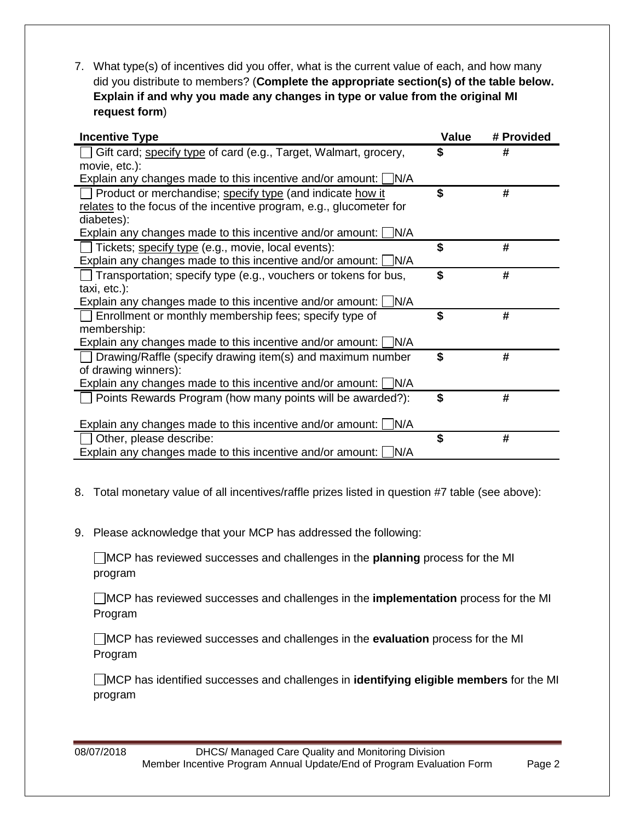7. What type(s) of incentives did you offer, what is the current value of each, and how many did you distribute to members? (**Complete the appropriate section(s) of the table below. Explain if and why you made any changes in type or value from the original MI request form**)

| <b>Incentive Type</b>                                                  | Value | # Provided |
|------------------------------------------------------------------------|-------|------------|
| Gift card; specify type of card (e.g., Target, Walmart, grocery,       | \$    | #          |
| movie, etc.):                                                          |       |            |
| Explain any changes made to this incentive and/or amount: $\Box$ N/A   |       |            |
| Product or merchandise; specify type (and indicate how it              | \$    | #          |
| relates to the focus of the incentive program, e.g., glucometer for    |       |            |
| diabetes):                                                             |       |            |
| Explain any changes made to this incentive and/or amount: $\Box$ N/A   |       |            |
| $\Box$ Tickets; specify type (e.g., movie, local events):              | \$    | #          |
| Explain any changes made to this incentive and/or amount: $\Box$ N/A   |       |            |
| $\Box$ Transportation; specify type (e.g., vouchers or tokens for bus, | \$    | #          |
| taxi, etc.):                                                           |       |            |
| Explain any changes made to this incentive and/or amount: $\Box$ N/A   |       |            |
| Enrollment or monthly membership fees; specify type of                 | \$    | #          |
| membership:                                                            |       |            |
| Explain any changes made to this incentive and/or amount: $\Box$ N/A   |       |            |
| $\Box$ Drawing/Raffle (specify drawing item(s) and maximum number      | \$    | #          |
| of drawing winners):                                                   |       |            |
| Explain any changes made to this incentive and/or amount: $\Box$ N/A   |       |            |
| Points Rewards Program (how many points will be awarded?):             | \$    | #          |
|                                                                        |       |            |
| Explain any changes made to this incentive and/or amount: $\Box$ N/A   |       |            |
| Other, please describe:                                                | \$    | #          |
| Explain any changes made to this incentive and/or amount: $\Box$ N/A   |       |            |

- 8. Total monetary value of all incentives/raffle prizes listed in question #7 table (see above):
- 9. Please acknowledge that your MCP has addressed the following:

MCP has reviewed successes and challenges in the **planning** process for the MI program

MCP has reviewed successes and challenges in the **implementation** process for the MI Program

MCP has reviewed successes and challenges in the **evaluation** process for the MI Program

MCP has identified successes and challenges in **identifying eligible members** for the MI program